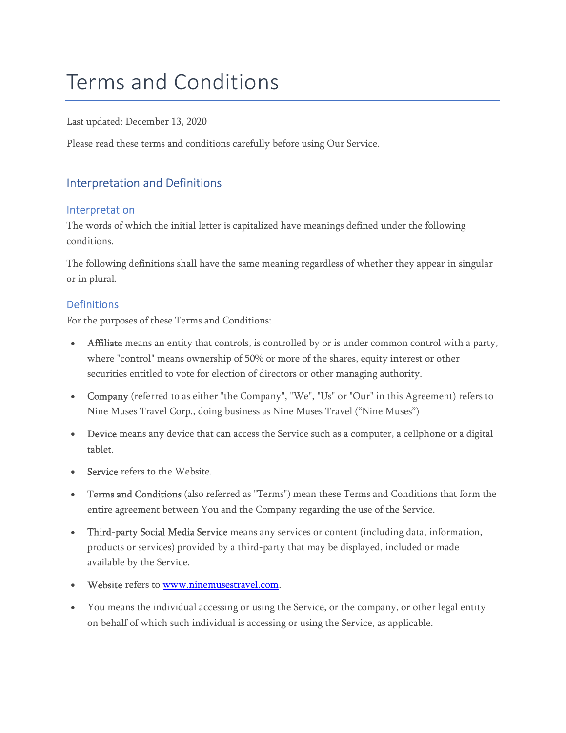# Terms and Conditions

Last updated: December 13, 2020

Please read these terms and conditions carefully before using Our Service.

## Interpretation and Definitions

#### Interpretation

The words of which the initial letter is capitalized have meanings defined under the following conditions.

The following definitions shall have the same meaning regardless of whether they appear in singular or in plural.

#### **Definitions**

For the purposes of these Terms and Conditions:

- Affiliate means an entity that controls, is controlled by or is under common control with a party, where "control" means ownership of 50% or more of the shares, equity interest or other securities entitled to vote for election of directors or other managing authority.
- Company (referred to as either "the Company", "We", "Us" or "Our" in this Agreement) refers to Nine Muses Travel Corp., doing business as Nine Muses Travel ("Nine Muses")
- Device means any device that can access the Service such as a computer, a cellphone or a digital tablet.
- Service refers to the Website.
- Terms and Conditions (also referred as "Terms") mean these Terms and Conditions that form the entire agreement between You and the Company regarding the use of the Service.
- Third-party Social Media Service means any services or content (including data, information, products or services) provided by a third-party that may be displayed, included or made available by the Service.
- Website refers to www.ninemusestravel.com.
- You means the individual accessing or using the Service, or the company, or other legal entity on behalf of which such individual is accessing or using the Service, as applicable.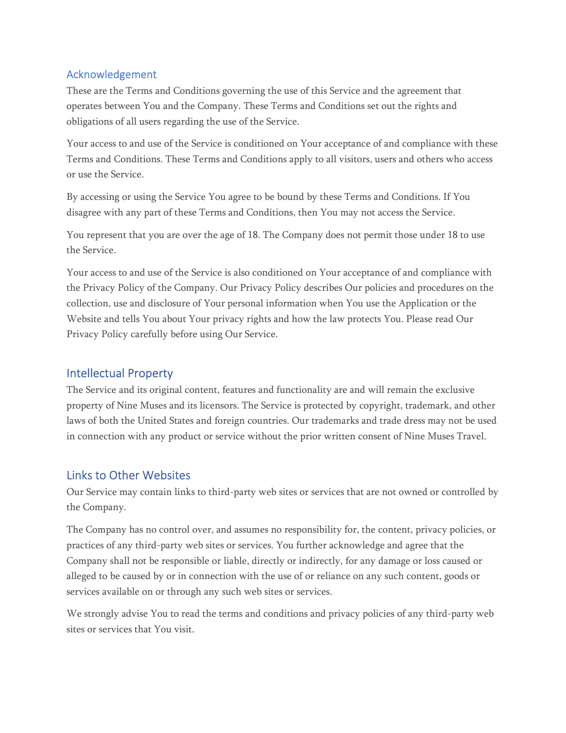#### Acknowledgement

These are the Terms and Conditions governing the use of this Service and the agreement that operates between You and the Company. These Terms and Conditions set out the rights and obligations of all users regarding the use of the Service.

Your access to and use of the Service is conditioned on Your acceptance of and compliance with these Terms and Conditions. These Terms and Conditions apply to all visitors, users and others who access or use the Service.

By accessing or using the Service You agree to be bound by these Terms and Conditions. If You disagree with any part of these Terms and Conditions, then You may not access the Service.

You represent that you are over the age of 18. The Company does not permit those under 18 to use the Service.

Your access to and use of the Service is also conditioned on Your acceptance of and compliance with the Privacy Policy of the Company. Our Privacy Policy describes Our policies and procedures on the collection, use and disclosure of Your personal information when You use the Application or the Website and tells You about Your privacy rights and how the law protects You. Please read Our Privacy Policy carefully before using Our Service.

## Intellectual Property

The Service and its original content, features and functionality are and will remain the exclusive property of Nine Muses and its licensors. The Service is protected by copyright, trademark, and other laws of both the United States and foreign countries. Our trademarks and trade dress may not be used in connection with any product or service without the prior written consent of Nine Muses Travel.

# Links to Other Websites

Our Service may contain links to third-party web sites or services that are not owned or controlled by the Company.

The Company has no control over, and assumes no responsibility for, the content, privacy policies, or practices of any third-party web sites or services. You further acknowledge and agree that the Company shall not be responsible or liable, directly or indirectly, for any damage or loss caused or alleged to be caused by or in connection with the use of or reliance on any such content, goods or services available on or through any such web sites or services.

We strongly advise You to read the terms and conditions and privacy policies of any third-party web sites or services that You visit.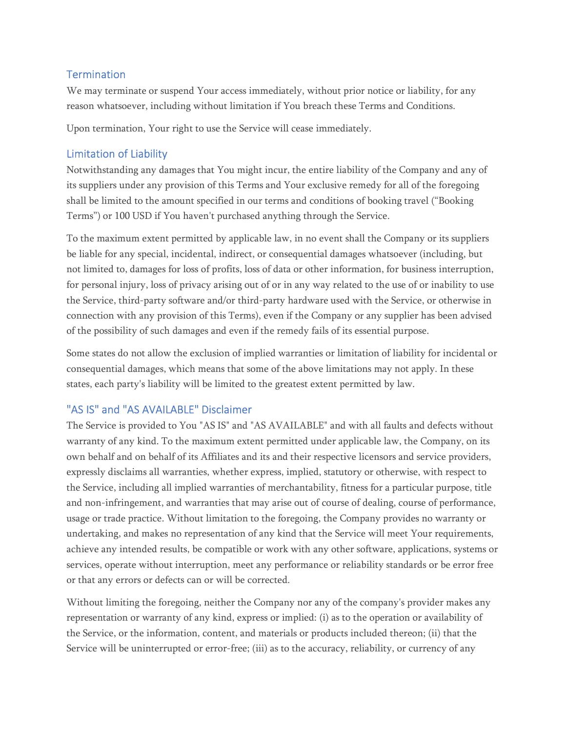#### **Termination**

We may terminate or suspend Your access immediately, without prior notice or liability, for any reason whatsoever, including without limitation if You breach these Terms and Conditions.

Upon termination, Your right to use the Service will cease immediately.

## Limitation of Liability

Notwithstanding any damages that You might incur, the entire liability of the Company and any of its suppliers under any provision of this Terms and Your exclusive remedy for all of the foregoing shall be limited to the amount specified in our terms and conditions of booking travel ("Booking Terms") or 100 USD if You haven't purchased anything through the Service.

To the maximum extent permitted by applicable law, in no event shall the Company or its suppliers be liable for any special, incidental, indirect, or consequential damages whatsoever (including, but not limited to, damages for loss of profits, loss of data or other information, for business interruption, for personal injury, loss of privacy arising out of or in any way related to the use of or inability to use the Service, third-party software and/or third-party hardware used with the Service, or otherwise in connection with any provision of this Terms), even if the Company or any supplier has been advised of the possibility of such damages and even if the remedy fails of its essential purpose.

Some states do not allow the exclusion of implied warranties or limitation of liability for incidental or consequential damages, which means that some of the above limitations may not apply. In these states, each party's liability will be limited to the greatest extent permitted by law.

## "AS IS" and "AS AVAILABLE" Disclaimer

The Service is provided to You "AS IS" and "AS AVAILABLE" and with all faults and defects without warranty of any kind. To the maximum extent permitted under applicable law, the Company, on its own behalf and on behalf of its Affiliates and its and their respective licensors and service providers, expressly disclaims all warranties, whether express, implied, statutory or otherwise, with respect to the Service, including all implied warranties of merchantability, fitness for a particular purpose, title and non-infringement, and warranties that may arise out of course of dealing, course of performance, usage or trade practice. Without limitation to the foregoing, the Company provides no warranty or undertaking, and makes no representation of any kind that the Service will meet Your requirements, achieve any intended results, be compatible or work with any other software, applications, systems or services, operate without interruption, meet any performance or reliability standards or be error free or that any errors or defects can or will be corrected.

Without limiting the foregoing, neither the Company nor any of the company's provider makes any representation or warranty of any kind, express or implied: (i) as to the operation or availability of the Service, or the information, content, and materials or products included thereon; (ii) that the Service will be uninterrupted or error-free; (iii) as to the accuracy, reliability, or currency of any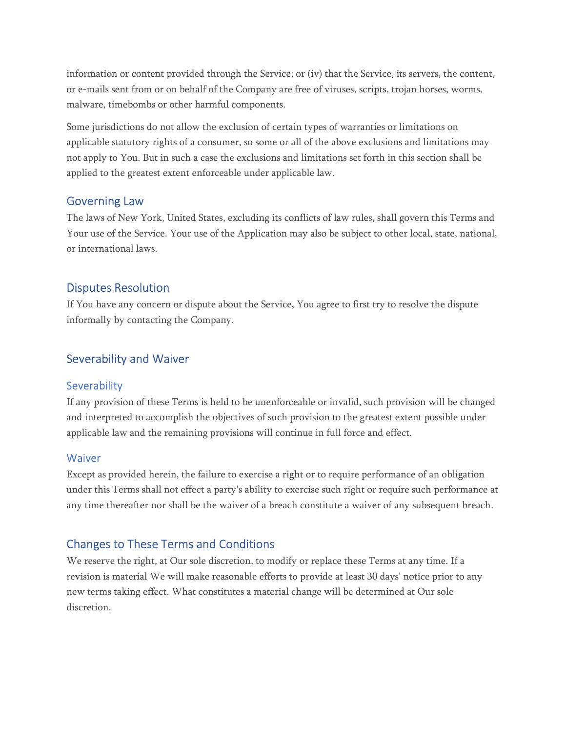information or content provided through the Service; or (iv) that the Service, its servers, the content, or e-mails sent from or on behalf of the Company are free of viruses, scripts, trojan horses, worms, malware, timebombs or other harmful components.

Some jurisdictions do not allow the exclusion of certain types of warranties or limitations on applicable statutory rights of a consumer, so some or all of the above exclusions and limitations may not apply to You. But in such a case the exclusions and limitations set forth in this section shall be applied to the greatest extent enforceable under applicable law.

### Governing Law

The laws of New York, United States, excluding its conflicts of law rules, shall govern this Terms and Your use of the Service. Your use of the Application may also be subject to other local, state, national, or international laws.

### Disputes Resolution

If You have any concern or dispute about the Service, You agree to first try to resolve the dispute informally by contacting the Company.

## Severability and Waiver

#### **Severability**

If any provision of these Terms is held to be unenforceable or invalid, such provision will be changed and interpreted to accomplish the objectives of such provision to the greatest extent possible under applicable law and the remaining provisions will continue in full force and effect.

#### **Waiver**

Except as provided herein, the failure to exercise a right or to require performance of an obligation under this Terms shall not effect a party's ability to exercise such right or require such performance at any time thereafter nor shall be the waiver of a breach constitute a waiver of any subsequent breach.

## Changes to These Terms and Conditions

We reserve the right, at Our sole discretion, to modify or replace these Terms at any time. If a revision is material We will make reasonable efforts to provide at least 30 days' notice prior to any new terms taking effect. What constitutes a material change will be determined at Our sole discretion.